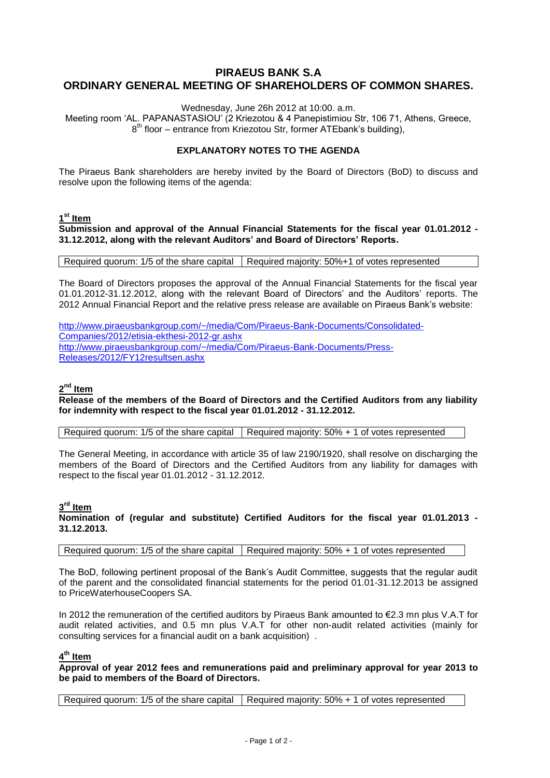# **PIRAEUS BANK S.A ORDINARY GENERAL MEETING OF SHAREHOLDERS OF COMMON SHARES.**

Wednesday, June 26h 2012 at 10:00. a.m.

Meeting room 'AL. PAPANASTASIOU' (2 Kriezotou & 4 Panepistimiou Str, 106 71, Athens, Greece, 8<sup>th</sup> floor – entrance from Kriezotou Str, former ATEbank's building),

### **EXPLANATORY NOTES TO THE AGENDA**

The Piraeus Bank shareholders are hereby invited by the Board of Directors (BoD) to discuss and resolve upon the following items of the agenda:

### **1 st Item**

**Submission and approval of the Annual Financial Statements for the fiscal year 01.01.2012 - 31.12.2012, along with the relevant Auditors' and Board of Directors' Reports.**

Required quorum: 1/5 of the share capital Required majority: 50%+1 of votes represented

The Board of Directors proposes the approval of the Annual Financial Statements for the fiscal year 01.01.2012-31.12.2012, along with the relevant Board of Directors' and the Auditors' reports. The 2012 Annual Financial Report and the relative press release are available on Piraeus Bank's website:

[http://www.piraeusbankgroup.com/~/media/Com/Piraeus-Bank-Documents/Consolidated-](http://www.piraeusbankgroup.com/~/media/Com/Piraeus-Bank-Documents/Consolidated-Companies/2012/etisia-ekthesi-2012-gr.ashx)[Companies/2012/etisia-ekthesi-2012-gr.ashx](http://www.piraeusbankgroup.com/~/media/Com/Piraeus-Bank-Documents/Consolidated-Companies/2012/etisia-ekthesi-2012-gr.ashx) http://www.piraeusbankgroup.com/~/media/Com/Piraeus-Bank-Documents/Press-Releases/2012/FY12resultsen.ashx

### **2 nd Item**

**Release of the members of the Board of Directors and the Certified Auditors from any liability for indemnity with respect to the fiscal year 01.01.2012 - 31.12.2012.**

Required quorum: 1/5 of the share capital  $\vert$  Required majority: 50% + 1 of votes represented

The General Meeting, in accordance with article 35 of law 2190/1920, shall resolve on discharging the members of the Board of Directors and the Certified Auditors from any liability for damages with respect to the fiscal year 01.01.2012 - 31.12.2012.

### **3 rd Item**

**Nomination of (regular and substitute) Certified Auditors for the fiscal year 01.01.2013 - 31.12.2013.**

Required quorum: 1/5 of the share capital | Required majority: 50% + 1 of votes represented

The BoD, following pertinent proposal of the Bank's Audit Committee, suggests that the regular audit of the parent and the consolidated financial statements for the period 01.01-31.12.2013 be assigned to PriceWaterhouseCoopers SA.

In 2012 the remuneration of the certified auditors by Piraeus Bank amounted to €2.3 mn plus V.A.T for audit related activities, and 0.5 mn plus V.A.T for other non-audit related activities (mainly for consulting services for a financial audit on a bank acquisition) .

### **4 th Item**

**Approval of year 2012 fees and remunerations paid and preliminary approval for year 2013 to be paid to members of the Board of Directors.**

Required quorum: 1/5 of the share capital  $\vert$  Required majority: 50% + 1 of votes represented